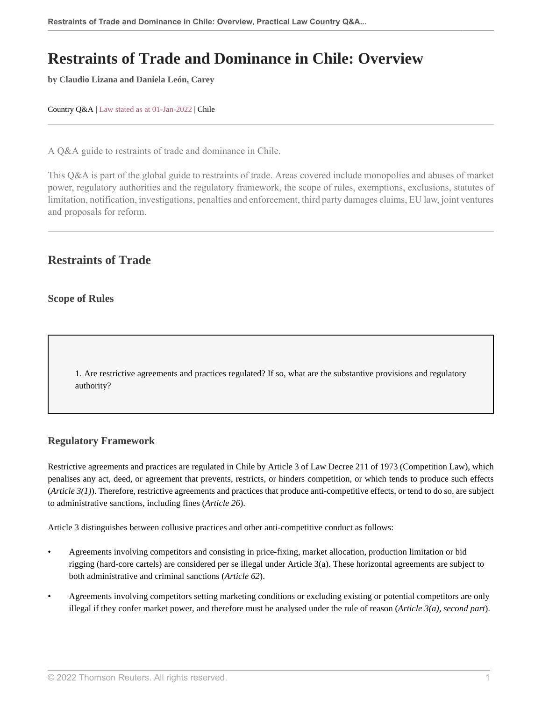# **Restraints of Trade and Dominance in Chile: Overview**

**by Claudio Lizana and Daniela León, Carey**

Country Q&A | Law stated as at 01-Jan-2022 | Chile

A Q&A guide to restraints of trade and dominance in Chile.

This Q&A is part of the global guide to restraints of trade. Areas covered include monopolies and abuses of market power, regulatory authorities and the regulatory framework, the scope of rules, exemptions, exclusions, statutes of limitation, notification, investigations, penalties and enforcement, third party damages claims, EU law, joint ventures and proposals for reform.

# **Restraints of Trade**

**Scope of Rules**

1. Are restrictive agreements and practices regulated? If so, what are the substantive provisions and regulatory authority?

# **Regulatory Framework**

Restrictive agreements and practices are regulated in Chile by Article 3 of Law Decree 211 of 1973 (Competition Law), which penalises any act, deed, or agreement that prevents, restricts, or hinders competition, or which tends to produce such effects (*Article 3(1)*). Therefore, restrictive agreements and practices that produce anti-competitive effects, or tend to do so, are subject to administrative sanctions, including fines (*Article 26*).

Article 3 distinguishes between collusive practices and other anti-competitive conduct as follows:

- Agreements involving competitors and consisting in price-fixing, market allocation, production limitation or bid rigging (hard-core cartels) are considered per se illegal under Article 3(a). These horizontal agreements are subject to both administrative and criminal sanctions (*Article 62*).
- Agreements involving competitors setting marketing conditions or excluding existing or potential competitors are only illegal if they confer market power, and therefore must be analysed under the rule of reason (*Article 3(a), second part*).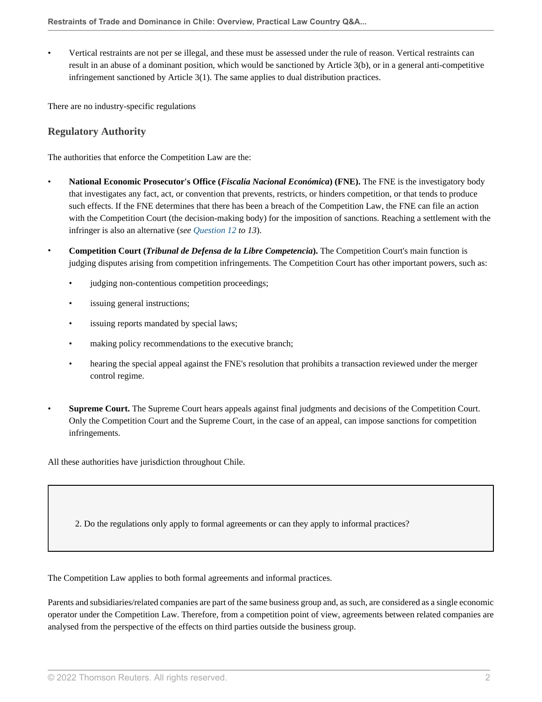• Vertical restraints are not per se illegal, and these must be assessed under the rule of reason. Vertical restraints can result in an abuse of a dominant position, which would be sanctioned by Article 3(b), or in a general anti-competitive infringement sanctioned by Article 3(1). The same applies to dual distribution practices.

There are no industry-specific regulations

# **Regulatory Authority**

The authorities that enforce the Competition Law are the:

- **National Economic Prosecutor's Office (***Fiscalía Nacional Económica***) (FNE).** The FNE is the investigatory body that investigates any fact, act, or convention that prevents, restricts, or hinders competition, or that tends to produce such effects. If the FNE determines that there has been a breach of the Competition Law, the FNE can file an action with the Competition Court (the decision-making body) for the imposition of sanctions. Reaching a settlement with the infringer is also an alternative (*see Question 12 to 13*).
- **Competition Court (***Tribunal de Defensa de la Libre Competencia***).** The Competition Court's main function is judging disputes arising from competition infringements. The Competition Court has other important powers, such as:
	- judging non-contentious competition proceedings;
	- issuing general instructions;
	- issuing reports mandated by special laws;
	- making policy recommendations to the executive branch;
	- hearing the special appeal against the FNE's resolution that prohibits a transaction reviewed under the merger control regime.
- **Supreme Court.** The Supreme Court hears appeals against final judgments and decisions of the Competition Court. Only the Competition Court and the Supreme Court, in the case of an appeal, can impose sanctions for competition infringements.

All these authorities have jurisdiction throughout Chile.

2. Do the regulations only apply to formal agreements or can they apply to informal practices?

The Competition Law applies to both formal agreements and informal practices.

Parents and subsidiaries/related companies are part of the same business group and, as such, are considered as a single economic operator under the Competition Law. Therefore, from a competition point of view, agreements between related companies are analysed from the perspective of the effects on third parties outside the business group.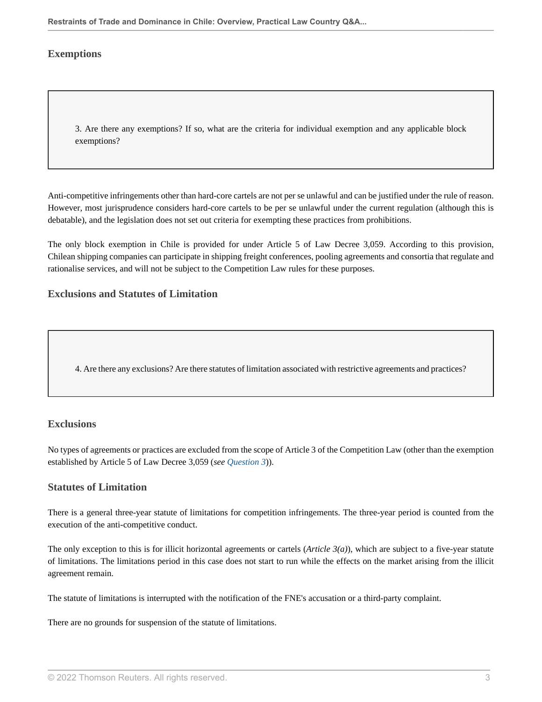### **Exemptions**

3. Are there any exemptions? If so, what are the criteria for individual exemption and any applicable block exemptions?

Anti-competitive infringements other than hard-core cartels are not per se unlawful and can be justified under the rule of reason. However, most jurisprudence considers hard-core cartels to be per se unlawful under the current regulation (although this is debatable), and the legislation does not set out criteria for exempting these practices from prohibitions.

The only block exemption in Chile is provided for under Article 5 of Law Decree 3,059. According to this provision, Chilean shipping companies can participate in shipping freight conferences, pooling agreements and consortia that regulate and rationalise services, and will not be subject to the Competition Law rules for these purposes.

#### **Exclusions and Statutes of Limitation**

4. Are there any exclusions? Are there statutes of limitation associated with restrictive agreements and practices?

#### **Exclusions**

No types of agreements or practices are excluded from the scope of Article 3 of the Competition Law (other than the exemption established by Article 5 of Law Decree 3,059 (*see Question 3*)).

#### **Statutes of Limitation**

There is a general three-year statute of limitations for competition infringements. The three-year period is counted from the execution of the anti-competitive conduct.

The only exception to this is for illicit horizontal agreements or cartels (*Article 3(a)*), which are subject to a five-year statute of limitations. The limitations period in this case does not start to run while the effects on the market arising from the illicit agreement remain.

The statute of limitations is interrupted with the notification of the FNE's accusation or a third-party complaint.

There are no grounds for suspension of the statute of limitations.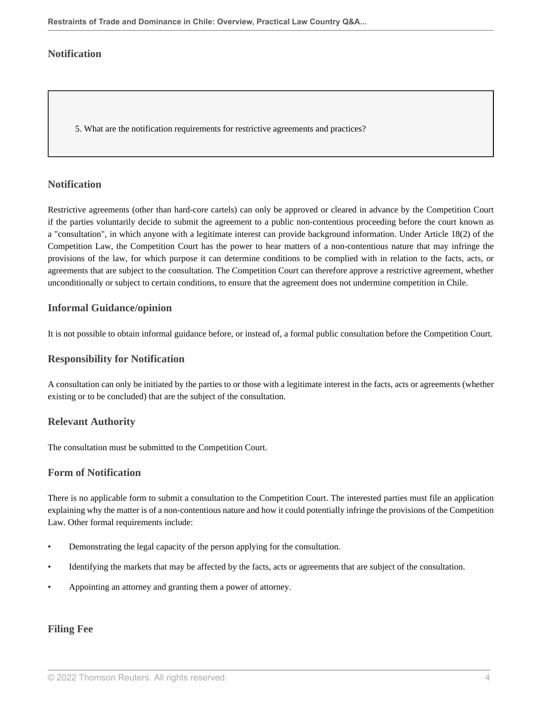# **Notification**

5. What are the notification requirements for restrictive agreements and practices?

### **Notification**

Restrictive agreements (other than hard-core cartels) can only be approved or cleared in advance by the Competition Court if the parties voluntarily decide to submit the agreement to a public non-contentious proceeding before the court known as a "consultation", in which anyone with a legitimate interest can provide background information. Under Article 18(2) of the Competition Law, the Competition Court has the power to hear matters of a non-contentious nature that may infringe the provisions of the law, for which purpose it can determine conditions to be complied with in relation to the facts, acts, or agreements that are subject to the consultation. The Competition Court can therefore approve a restrictive agreement, whether unconditionally or subject to certain conditions, to ensure that the agreement does not undermine competition in Chile.

### **Informal Guidance/opinion**

It is not possible to obtain informal guidance before, or instead of, a formal public consultation before the Competition Court.

#### **Responsibility for Notification**

A consultation can only be initiated by the parties to or those with a legitimate interest in the facts, acts or agreements (whether existing or to be concluded) that are the subject of the consultation.

# **Relevant Authority**

The consultation must be submitted to the Competition Court.

#### **Form of Notification**

There is no applicable form to submit a consultation to the Competition Court. The interested parties must file an application explaining why the matter is of a non-contentious nature and how it could potentially infringe the provisions of the Competition Law. Other formal requirements include:

- Demonstrating the legal capacity of the person applying for the consultation.
- Identifying the markets that may be affected by the facts, acts or agreements that are subject of the consultation.
- Appointing an attorney and granting them a power of attorney.

# **Filing Fee**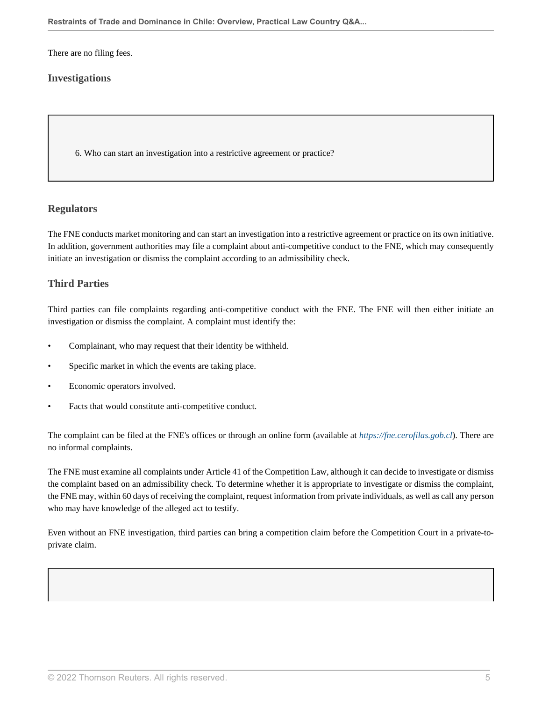There are no filing fees.

# **Investigations**

6. Who can start an investigation into a restrictive agreement or practice?

#### **Regulators**

The FNE conducts market monitoring and can start an investigation into a restrictive agreement or practice on its own initiative. In addition, government authorities may file a complaint about anti-competitive conduct to the FNE, which may consequently initiate an investigation or dismiss the complaint according to an admissibility check.

# **Third Parties**

Third parties can file complaints regarding anti-competitive conduct with the FNE. The FNE will then either initiate an investigation or dismiss the complaint. A complaint must identify the:

- Complainant, who may request that their identity be withheld.
- Specific market in which the events are taking place.
- Economic operators involved.
- Facts that would constitute anti-competitive conduct.

The complaint can be filed at the FNE's offices or through an online form (available at *https://fne.cerofilas.gob.cl*). There are no informal complaints.

The FNE must examine all complaints under Article 41 of the Competition Law, although it can decide to investigate or dismiss the complaint based on an admissibility check. To determine whether it is appropriate to investigate or dismiss the complaint, the FNE may, within 60 days of receiving the complaint, request information from private individuals, as well as call any person who may have knowledge of the alleged act to testify.

Even without an FNE investigation, third parties can bring a competition claim before the Competition Court in a private-toprivate claim.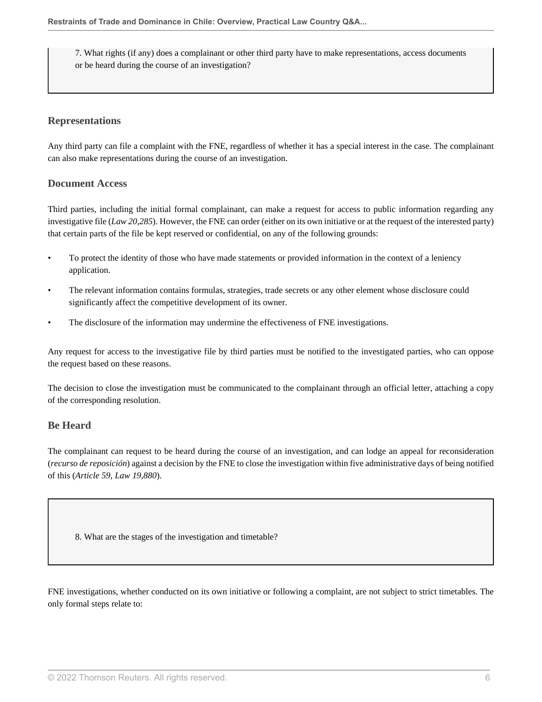7. What rights (if any) does a complainant or other third party have to make representations, access documents or be heard during the course of an investigation?

# **Representations**

Any third party can file a complaint with the FNE, regardless of whether it has a special interest in the case. The complainant can also make representations during the course of an investigation.

# **Document Access**

Third parties, including the initial formal complainant, can make a request for access to public information regarding any investigative file (*Law 20,285*). However, the FNE can order (either on its own initiative or at the request of the interested party) that certain parts of the file be kept reserved or confidential, on any of the following grounds:

- To protect the identity of those who have made statements or provided information in the context of a leniency application.
- The relevant information contains formulas, strategies, trade secrets or any other element whose disclosure could significantly affect the competitive development of its owner.
- The disclosure of the information may undermine the effectiveness of FNE investigations.

Any request for access to the investigative file by third parties must be notified to the investigated parties, who can oppose the request based on these reasons.

The decision to close the investigation must be communicated to the complainant through an official letter, attaching a copy of the corresponding resolution.

# **Be Heard**

The complainant can request to be heard during the course of an investigation, and can lodge an appeal for reconsideration (*recurso de reposición*) against a decision by the FNE to close the investigation within five administrative days of being notified of this (*Article 59, Law 19,880*).

8. What are the stages of the investigation and timetable?

FNE investigations, whether conducted on its own initiative or following a complaint, are not subject to strict timetables. The only formal steps relate to: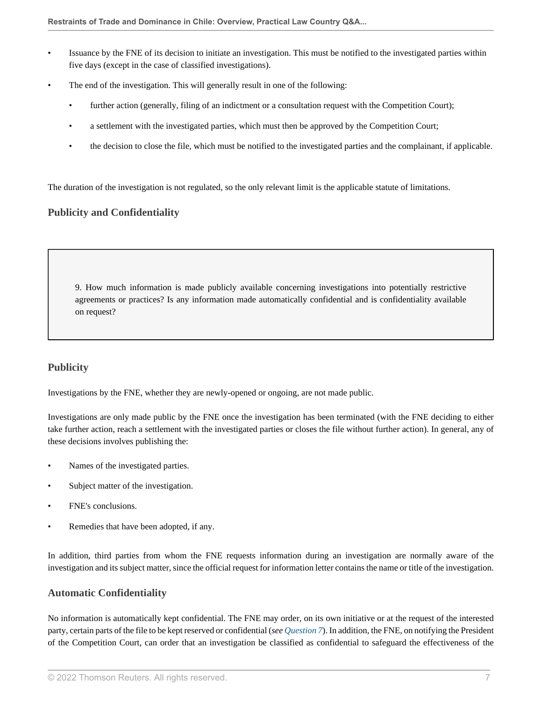- Issuance by the FNE of its decision to initiate an investigation. This must be notified to the investigated parties within five days (except in the case of classified investigations).
- The end of the investigation. This will generally result in one of the following:
	- further action (generally, filing of an indictment or a consultation request with the Competition Court);
	- a settlement with the investigated parties, which must then be approved by the Competition Court;
	- the decision to close the file, which must be notified to the investigated parties and the complainant, if applicable.

The duration of the investigation is not regulated, so the only relevant limit is the applicable statute of limitations.

# **Publicity and Confidentiality**

9. How much information is made publicly available concerning investigations into potentially restrictive agreements or practices? Is any information made automatically confidential and is confidentiality available on request?

# **Publicity**

Investigations by the FNE, whether they are newly-opened or ongoing, are not made public.

Investigations are only made public by the FNE once the investigation has been terminated (with the FNE deciding to either take further action, reach a settlement with the investigated parties or closes the file without further action). In general, any of these decisions involves publishing the:

- Names of the investigated parties.
- Subject matter of the investigation.
- FNE's conclusions.
- Remedies that have been adopted, if any.

In addition, third parties from whom the FNE requests information during an investigation are normally aware of the investigation and its subject matter, since the official request for information letter contains the name or title of the investigation.

# **Automatic Confidentiality**

No information is automatically kept confidential. The FNE may order, on its own initiative or at the request of the interested party, certain parts of the file to be kept reserved or confidential (*see Question 7*). In addition, the FNE, on notifying the President of the Competition Court, can order that an investigation be classified as confidential to safeguard the effectiveness of the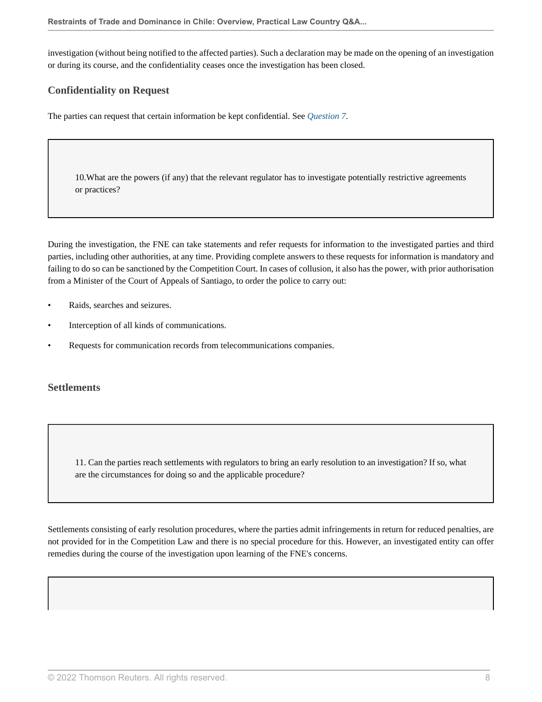investigation (without being notified to the affected parties). Such a declaration may be made on the opening of an investigation or during its course, and the confidentiality ceases once the investigation has been closed.

# **Confidentiality on Request**

The parties can request that certain information be kept confidential. See *Question 7*.

10.What are the powers (if any) that the relevant regulator has to investigate potentially restrictive agreements or practices?

During the investigation, the FNE can take statements and refer requests for information to the investigated parties and third parties, including other authorities, at any time. Providing complete answers to these requests for information is mandatory and failing to do so can be sanctioned by the Competition Court. In cases of collusion, it also has the power, with prior authorisation from a Minister of the Court of Appeals of Santiago, to order the police to carry out:

- Raids, searches and seizures.
- Interception of all kinds of communications.
- Requests for communication records from telecommunications companies.

#### **Settlements**

11. Can the parties reach settlements with regulators to bring an early resolution to an investigation? If so, what are the circumstances for doing so and the applicable procedure?

Settlements consisting of early resolution procedures, where the parties admit infringements in return for reduced penalties, are not provided for in the Competition Law and there is no special procedure for this. However, an investigated entity can offer remedies during the course of the investigation upon learning of the FNE's concerns.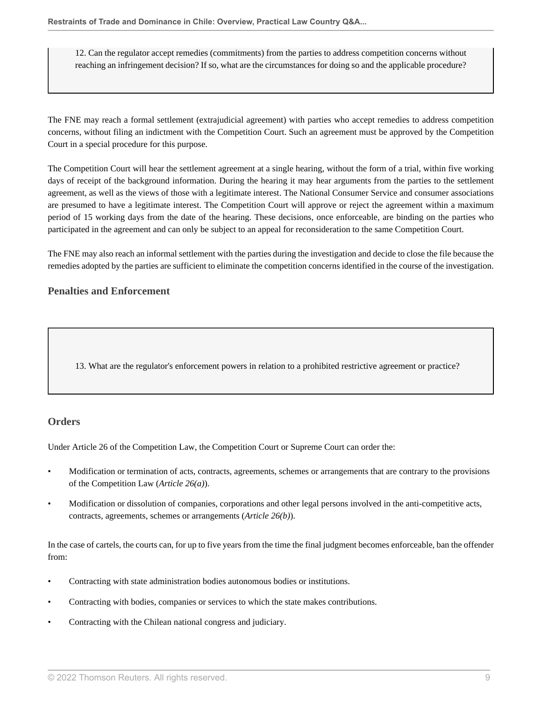12. Can the regulator accept remedies (commitments) from the parties to address competition concerns without reaching an infringement decision? If so, what are the circumstances for doing so and the applicable procedure?

The FNE may reach a formal settlement (extrajudicial agreement) with parties who accept remedies to address competition concerns, without filing an indictment with the Competition Court. Such an agreement must be approved by the Competition Court in a special procedure for this purpose.

The Competition Court will hear the settlement agreement at a single hearing, without the form of a trial, within five working days of receipt of the background information. During the hearing it may hear arguments from the parties to the settlement agreement, as well as the views of those with a legitimate interest. The National Consumer Service and consumer associations are presumed to have a legitimate interest. The Competition Court will approve or reject the agreement within a maximum period of 15 working days from the date of the hearing. These decisions, once enforceable, are binding on the parties who participated in the agreement and can only be subject to an appeal for reconsideration to the same Competition Court.

The FNE may also reach an informal settlement with the parties during the investigation and decide to close the file because the remedies adopted by the parties are sufficient to eliminate the competition concerns identified in the course of the investigation.

# **Penalties and Enforcement**

13. What are the regulator's enforcement powers in relation to a prohibited restrictive agreement or practice?

# **Orders**

Under Article 26 of the Competition Law, the Competition Court or Supreme Court can order the:

- Modification or termination of acts, contracts, agreements, schemes or arrangements that are contrary to the provisions of the Competition Law (*Article 26(a)*).
- Modification or dissolution of companies, corporations and other legal persons involved in the anti-competitive acts, contracts, agreements, schemes or arrangements (*Article 26(b)*).

In the case of cartels, the courts can, for up to five years from the time the final judgment becomes enforceable, ban the offender from:

- Contracting with state administration bodies autonomous bodies or institutions.
- Contracting with bodies, companies or services to which the state makes contributions.
- Contracting with the Chilean national congress and judiciary.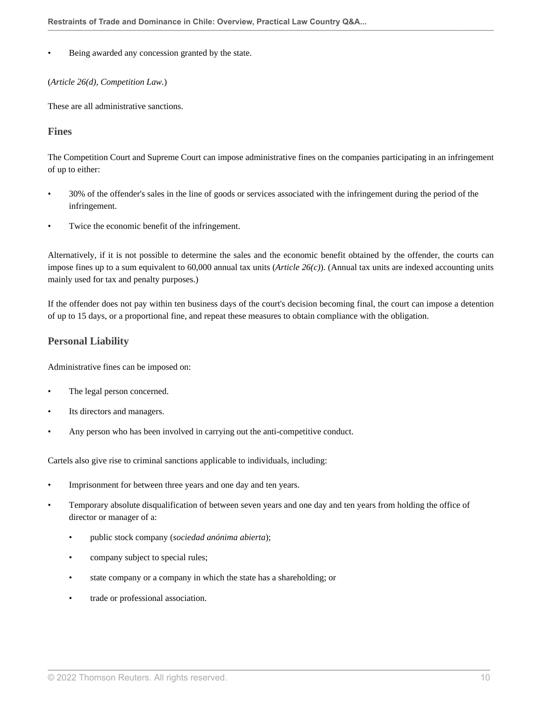Being awarded any concession granted by the state.

(*Article 26(d), Competition Law.*)

These are all administrative sanctions.

#### **Fines**

The Competition Court and Supreme Court can impose administrative fines on the companies participating in an infringement of up to either:

- 30% of the offender's sales in the line of goods or services associated with the infringement during the period of the infringement.
- Twice the economic benefit of the infringement.

Alternatively, if it is not possible to determine the sales and the economic benefit obtained by the offender, the courts can impose fines up to a sum equivalent to 60,000 annual tax units (*Article 26(c)*). (Annual tax units are indexed accounting units mainly used for tax and penalty purposes.)

If the offender does not pay within ten business days of the court's decision becoming final, the court can impose a detention of up to 15 days, or a proportional fine, and repeat these measures to obtain compliance with the obligation.

### **Personal Liability**

Administrative fines can be imposed on:

- The legal person concerned.
- Its directors and managers.
- Any person who has been involved in carrying out the anti-competitive conduct.

Cartels also give rise to criminal sanctions applicable to individuals, including:

- Imprisonment for between three years and one day and ten years.
- Temporary absolute disqualification of between seven years and one day and ten years from holding the office of director or manager of a:
	- public stock company (*sociedad anónima abierta*);
	- company subject to special rules;
	- state company or a company in which the state has a shareholding; or
	- trade or professional association.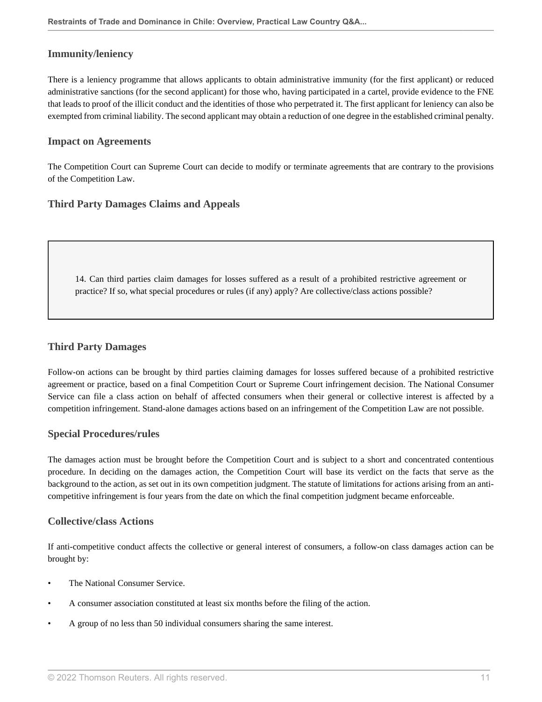### **Immunity/leniency**

There is a leniency programme that allows applicants to obtain administrative immunity (for the first applicant) or reduced administrative sanctions (for the second applicant) for those who, having participated in a cartel, provide evidence to the FNE that leads to proof of the illicit conduct and the identities of those who perpetrated it. The first applicant for leniency can also be exempted from criminal liability. The second applicant may obtain a reduction of one degree in the established criminal penalty.

#### **Impact on Agreements**

The Competition Court can Supreme Court can decide to modify or terminate agreements that are contrary to the provisions of the Competition Law.

#### **Third Party Damages Claims and Appeals**

14. Can third parties claim damages for losses suffered as a result of a prohibited restrictive agreement or practice? If so, what special procedures or rules (if any) apply? Are collective/class actions possible?

## **Third Party Damages**

Follow-on actions can be brought by third parties claiming damages for losses suffered because of a prohibited restrictive agreement or practice, based on a final Competition Court or Supreme Court infringement decision. The National Consumer Service can file a class action on behalf of affected consumers when their general or collective interest is affected by a competition infringement. Stand-alone damages actions based on an infringement of the Competition Law are not possible.

#### **Special Procedures/rules**

The damages action must be brought before the Competition Court and is subject to a short and concentrated contentious procedure. In deciding on the damages action, the Competition Court will base its verdict on the facts that serve as the background to the action, as set out in its own competition judgment. The statute of limitations for actions arising from an anticompetitive infringement is four years from the date on which the final competition judgment became enforceable.

#### **Collective/class Actions**

If anti-competitive conduct affects the collective or general interest of consumers, a follow-on class damages action can be brought by:

- The National Consumer Service.
- A consumer association constituted at least six months before the filing of the action.
- A group of no less than 50 individual consumers sharing the same interest.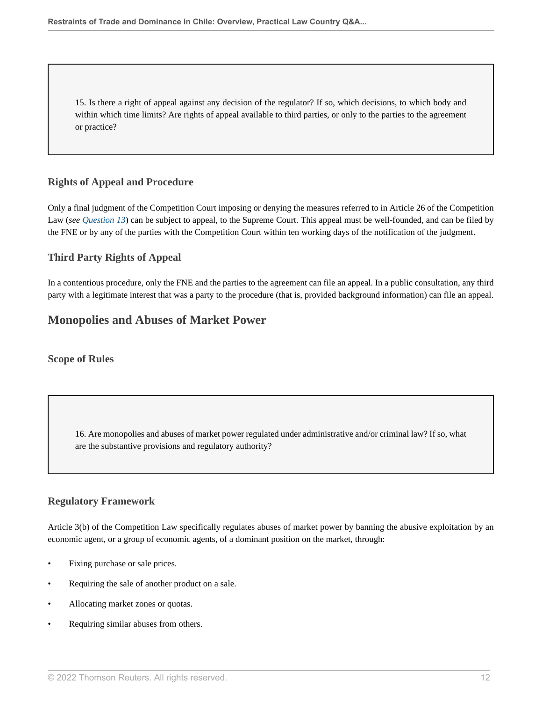15. Is there a right of appeal against any decision of the regulator? If so, which decisions, to which body and within which time limits? Are rights of appeal available to third parties, or only to the parties to the agreement or practice?

# **Rights of Appeal and Procedure**

Only a final judgment of the Competition Court imposing or denying the measures referred to in Article 26 of the Competition Law (*see Question 13*) can be subject to appeal, to the Supreme Court. This appeal must be well-founded, and can be filed by the FNE or by any of the parties with the Competition Court within ten working days of the notification of the judgment.

# **Third Party Rights of Appeal**

In a contentious procedure, only the FNE and the parties to the agreement can file an appeal. In a public consultation, any third party with a legitimate interest that was a party to the procedure (that is, provided background information) can file an appeal.

# **Monopolies and Abuses of Market Power**

#### **Scope of Rules**

16. Are monopolies and abuses of market power regulated under administrative and/or criminal law? If so, what are the substantive provisions and regulatory authority?

#### **Regulatory Framework**

Article 3(b) of the Competition Law specifically regulates abuses of market power by banning the abusive exploitation by an economic agent, or a group of economic agents, of a dominant position on the market, through:

- Fixing purchase or sale prices.
- Requiring the sale of another product on a sale.
- Allocating market zones or quotas.
- Requiring similar abuses from others.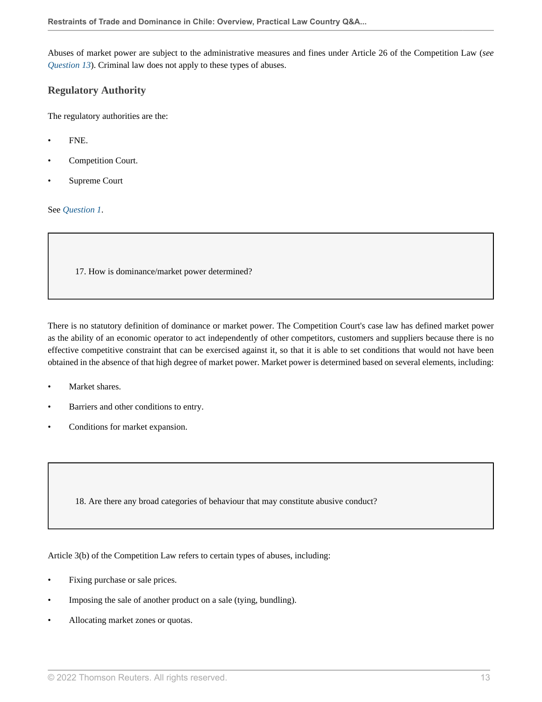Abuses of market power are subject to the administrative measures and fines under Article 26 of the Competition Law (*see Question 13*). Criminal law does not apply to these types of abuses.

## **Regulatory Authority**

The regulatory authorities are the:

- FNE.
- Competition Court.
- Supreme Court

See *Question 1*.

17. How is dominance/market power determined?

There is no statutory definition of dominance or market power. The Competition Court's case law has defined market power as the ability of an economic operator to act independently of other competitors, customers and suppliers because there is no effective competitive constraint that can be exercised against it, so that it is able to set conditions that would not have been obtained in the absence of that high degree of market power. Market power is determined based on several elements, including:

- Market shares.
- Barriers and other conditions to entry.
- Conditions for market expansion.

18. Are there any broad categories of behaviour that may constitute abusive conduct?

Article 3(b) of the Competition Law refers to certain types of abuses, including:

- Fixing purchase or sale prices.
- Imposing the sale of another product on a sale (tying, bundling).
- Allocating market zones or quotas.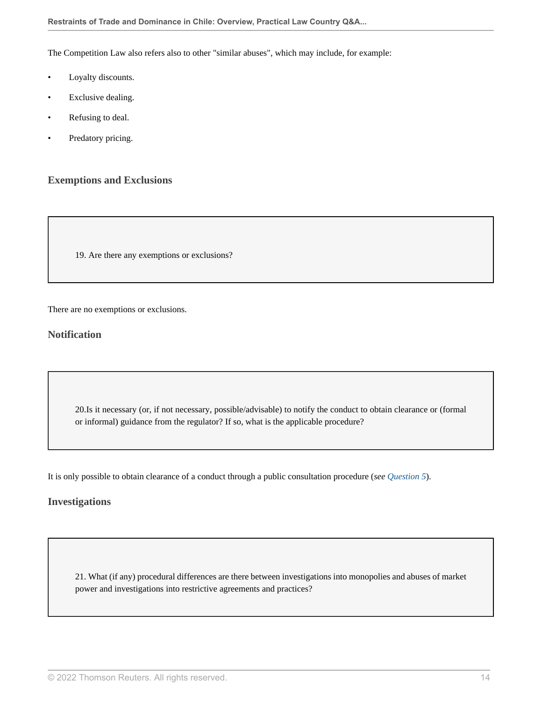The Competition Law also refers also to other "similar abuses", which may include, for example:

- Loyalty discounts.
- Exclusive dealing.
- Refusing to deal.
- Predatory pricing.

# **Exemptions and Exclusions**

19. Are there any exemptions or exclusions?

There are no exemptions or exclusions.

### **Notification**

20.Is it necessary (or, if not necessary, possible/advisable) to notify the conduct to obtain clearance or (formal or informal) guidance from the regulator? If so, what is the applicable procedure?

It is only possible to obtain clearance of a conduct through a public consultation procedure (*see Question 5*).

#### **Investigations**

21. What (if any) procedural differences are there between investigations into monopolies and abuses of market power and investigations into restrictive agreements and practices?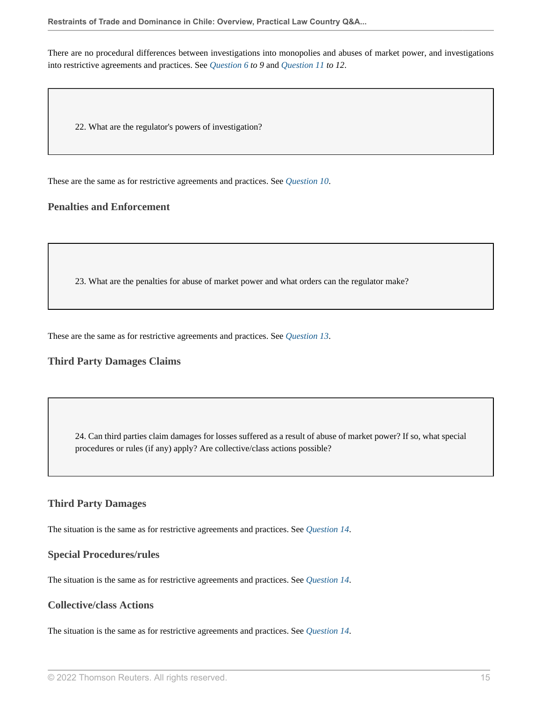There are no procedural differences between investigations into monopolies and abuses of market power, and investigations into restrictive agreements and practices. See *Question 6 to 9* and *Question 11 to 12*.

22. What are the regulator's powers of investigation?

These are the same as for restrictive agreements and practices. See *Question 10*.

### **Penalties and Enforcement**

23. What are the penalties for abuse of market power and what orders can the regulator make?

These are the same as for restrictive agreements and practices. See *Question 13*.

#### **Third Party Damages Claims**

24. Can third parties claim damages for losses suffered as a result of abuse of market power? If so, what special procedures or rules (if any) apply? Are collective/class actions possible?

#### **Third Party Damages**

The situation is the same as for restrictive agreements and practices. See *Question 14*.

#### **Special Procedures/rules**

The situation is the same as for restrictive agreements and practices. See *Question 14*.

# **Collective/class Actions**

The situation is the same as for restrictive agreements and practices. See *Question 14*.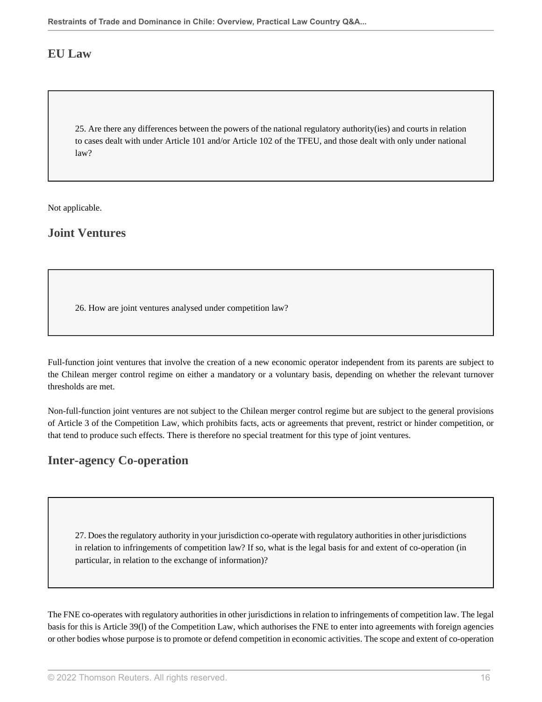# **EU Law**

25. Are there any differences between the powers of the national regulatory authority(ies) and courts in relation to cases dealt with under Article 101 and/or Article 102 of the TFEU, and those dealt with only under national law?

Not applicable.

**Joint Ventures**

26. How are joint ventures analysed under competition law?

Full-function joint ventures that involve the creation of a new economic operator independent from its parents are subject to the Chilean merger control regime on either a mandatory or a voluntary basis, depending on whether the relevant turnover thresholds are met.

Non-full-function joint ventures are not subject to the Chilean merger control regime but are subject to the general provisions of Article 3 of the Competition Law, which prohibits facts, acts or agreements that prevent, restrict or hinder competition, or that tend to produce such effects. There is therefore no special treatment for this type of joint ventures.

# **Inter-agency Co-operation**

27. Does the regulatory authority in your jurisdiction co-operate with regulatory authorities in other jurisdictions in relation to infringements of competition law? If so, what is the legal basis for and extent of co-operation (in particular, in relation to the exchange of information)?

The FNE co-operates with regulatory authorities in other jurisdictions in relation to infringements of competition law. The legal basis for this is Article 39(l) of the Competition Law, which authorises the FNE to enter into agreements with foreign agencies or other bodies whose purpose is to promote or defend competition in economic activities. The scope and extent of co-operation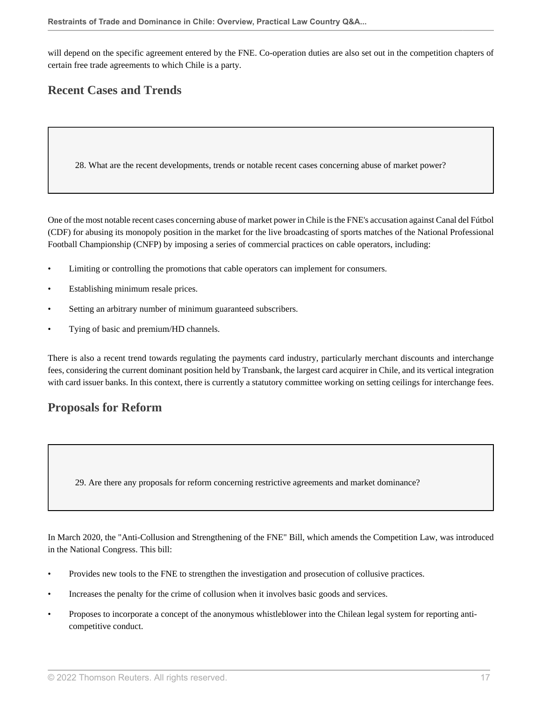will depend on the specific agreement entered by the FNE. Co-operation duties are also set out in the competition chapters of certain free trade agreements to which Chile is a party.

# **Recent Cases and Trends**

28. What are the recent developments, trends or notable recent cases concerning abuse of market power?

One of the most notable recent cases concerning abuse of market power in Chile is the FNE's accusation against Canal del Fútbol (CDF) for abusing its monopoly position in the market for the live broadcasting of sports matches of the National Professional Football Championship (CNFP) by imposing a series of commercial practices on cable operators, including:

- Limiting or controlling the promotions that cable operators can implement for consumers.
- Establishing minimum resale prices.
- Setting an arbitrary number of minimum guaranteed subscribers.
- Tying of basic and premium/HD channels.

There is also a recent trend towards regulating the payments card industry, particularly merchant discounts and interchange fees, considering the current dominant position held by Transbank, the largest card acquirer in Chile, and its vertical integration with card issuer banks. In this context, there is currently a statutory committee working on setting ceilings for interchange fees.

# **Proposals for Reform**

29. Are there any proposals for reform concerning restrictive agreements and market dominance?

In March 2020, the "Anti-Collusion and Strengthening of the FNE" Bill, which amends the Competition Law, was introduced in the National Congress. This bill:

- Provides new tools to the FNE to strengthen the investigation and prosecution of collusive practices.
- Increases the penalty for the crime of collusion when it involves basic goods and services.
- Proposes to incorporate a concept of the anonymous whistleblower into the Chilean legal system for reporting anticompetitive conduct.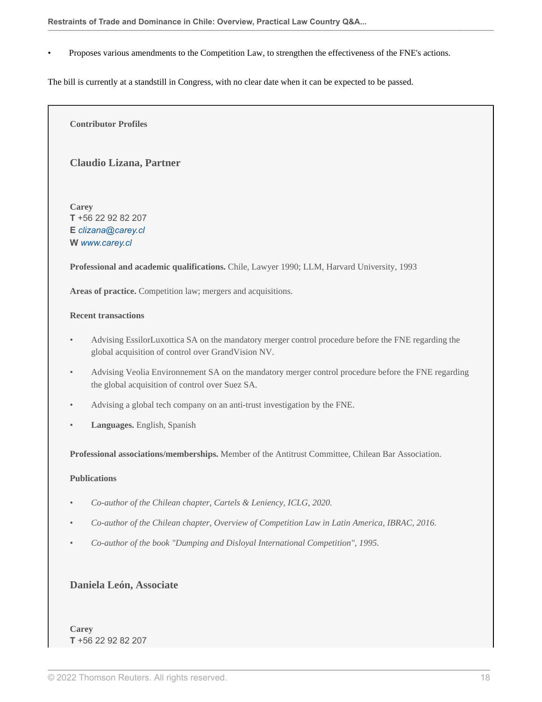• Proposes various amendments to the Competition Law, to strengthen the effectiveness of the FNE's actions.

The bill is currently at a standstill in Congress, with no clear date when it can be expected to be passed.

**Contributor Profiles**

#### **Claudio Lizana, Partner**

**Carey T** +56 22 92 82 207 **E** *clizana@carey.cl* **W** *www.carey.cl*

**Professional and academic qualifications.** Chile, Lawyer 1990; LLM, Harvard University, 1993

Areas of practice. Competition law; mergers and acquisitions.

#### **Recent transactions**

- Advising EssilorLuxottica SA on the mandatory merger control procedure before the FNE regarding the global acquisition of control over GrandVision NV.
- Advising Veolia Environnement SA on the mandatory merger control procedure before the FNE regarding the global acquisition of control over Suez SA.
- Advising a global tech company on an anti-trust investigation by the FNE.
- **Languages.** English, Spanish

**Professional associations/memberships.** Member of the Antitrust Committee, Chilean Bar Association.

#### **Publications**

- *Co-author of the Chilean chapter, Cartels & Leniency, ICLG, 2020.*
- *Co-author of the Chilean chapter, Overview of Competition Law in Latin America, IBRAC, 2016.*
- *Co-author of the book "Dumping and Disloyal International Competition", 1995.*

#### **Daniela León, Associate**

**Carey T** +56 22 92 82 207